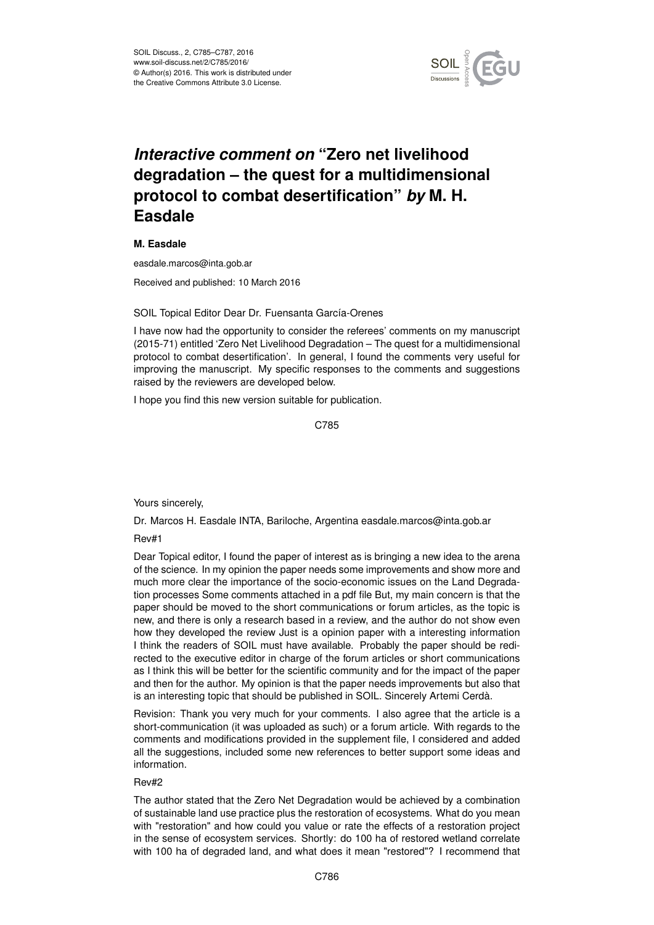

## *Interactive comment on* **"Zero net livelihood degradation – the quest for a multidimensional protocol to combat desertification"** *by* **M. H. Easdale**

## **M. Easdale**

easdale.marcos@inta.gob.ar

Received and published: 10 March 2016

## SOIL Topical Editor Dear Dr. Fuensanta García-Orenes

I have now had the opportunity to consider the referees' comments on my manuscript (2015-71) entitled 'Zero Net Livelihood Degradation – The quest for a multidimensional protocol to combat desertification'. In general, I found the comments very useful for improving the manuscript. My specific responses to the comments and suggestions raised by the reviewers are developed below.

I hope you find this new version suitable for publication.

C785

Yours sincerely,

Dr. Marcos H. Easdale INTA, Bariloche, Argentina easdale.marcos@inta.gob.ar

Rev#1

Dear Topical editor, I found the paper of interest as is bringing a new idea to the arena of the science. In my opinion the paper needs some improvements and show more and much more clear the importance of the socio-economic issues on the Land Degradation processes Some comments attached in a pdf file But, my main concern is that the paper should be moved to the short communications or forum articles, as the topic is new, and there is only a research based in a review, and the author do not show even how they developed the review Just is a opinion paper with a interesting information I think the readers of SOIL must have available. Probably the paper should be redirected to the executive editor in charge of the forum articles or short communications as I think this will be better for the scientific community and for the impact of the paper and then for the author. My opinion is that the paper needs improvements but also that is an interesting topic that should be published in SOIL. Sincerely Artemi Cerdà.

Revision: Thank you very much for your comments. I also agree that the article is a short-communication (it was uploaded as such) or a forum article. With regards to the comments and modifications provided in the supplement file, I considered and added all the suggestions, included some new references to better support some ideas and information.

## Rev#2

The author stated that the Zero Net Degradation would be achieved by a combination of sustainable land use practice plus the restoration of ecosystems. What do you mean with "restoration" and how could you value or rate the effects of a restoration project in the sense of ecosystem services. Shortly: do 100 ha of restored wetland correlate with 100 ha of degraded land, and what does it mean "restored"? I recommend that